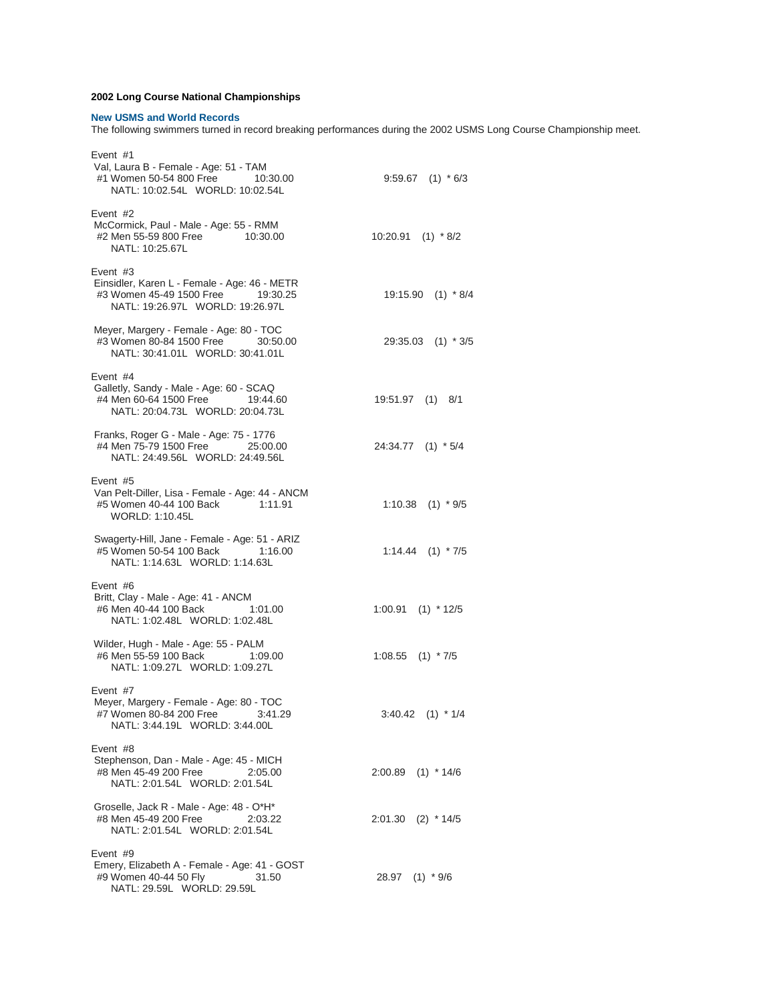## **2002 Long Course National Championships**

## **New USMS and World Records**

The following swimmers turned in record breaking performances during the 2002 USMS Long Course Championship meet.

| Event #1<br>Val, Laura B - Female - Age: 51 - TAM<br>#1 Women 50-54 800 Free<br>10:30.00<br>NATL: 10:02.54L WORLD: 10:02.54L      | $9:59.67$ (1) $*6/3$    |
|-----------------------------------------------------------------------------------------------------------------------------------|-------------------------|
| Event $#2$<br>McCormick, Paul - Male - Age: 55 - RMM<br>#2 Men 55-59 800 Free 10:30.00<br>NATL: 10:25.67L                         | $10:20.91$ (1) $*8/2$   |
| Event #3<br>Einsidler, Karen L - Female - Age: 46 - METR<br>#3 Women 45-49 1500 Free 19:30.25<br>NATL: 19:26.97L WORLD: 19:26.97L | $19:15.90$ (1) $*8/4$   |
| Meyer, Margery - Female - Age: 80 - TOC<br>#3 Women 80-84 1500 Free 30:50.00<br>NATL: 30:41.01L WORLD: 30:41.01L                  | 29:35.03 (1) * 3/5      |
| Event #4<br>Galletly, Sandy - Male - Age: 60 - SCAQ<br>#4 Men 60-64 1500 Free 19:44.60<br>NATL: 20:04.73L WORLD: 20:04.73L        | 19:51.97 (1) 8/1        |
| Franks, Roger G - Male - Age: 75 - 1776<br>#4 Men 75-79 1500 Free 25:00.00<br>NATL: 24:49.56L WORLD: 24:49.56L                    | 24:34.77 (1) * 5/4      |
| Event #5<br>Van Pelt-Diller, Lisa - Female - Age: 44 - ANCM<br>#5 Women 40-44 100 Back 1:11.91<br>WORLD: 1:10.45L                 | $1:10.38$ (1) $*9/5$    |
| Swagerty-Hill, Jane - Female - Age: 51 - ARIZ<br>#5 Women 50-54 100 Back 1:16.00<br>NATL: 1:14.63L WORLD: 1:14.63L                | $1:14.44$ $(1)$ $*7/5$  |
| Event #6<br>Britt, Clay - Male - Age: 41 - ANCM<br>#6 Men 40-44 100 Back<br>1:01.00<br>NATL: 1:02.48L WORLD: 1:02.48L             | $(1)$ * 12/5<br>1:00.91 |
| Wilder, Hugh - Male - Age: 55 - PALM<br>#6 Men 55-59 100 Back<br>1:09.00<br>NATL: 1:09.27L WORLD: 1:09.27L                        | 1:08.55<br>$(1)$ * 7/5  |
| Event #7<br>Meyer, Margery - Female - Age: 80 - TOC<br>#7 Women 80-84 200 Free<br>3:41.29<br>NATL: 3:44.19L WORLD: 3:44.00L       | $(1) * 1/4$<br>3:40.42  |
| Event $#8$<br>Stephenson, Dan - Male - Age: 45 - MICH<br>#8 Men 45-49 200 Free<br>2:05.00<br>NATL: 2:01.54L WORLD: 2:01.54L       | $2:00.89$ (1) * 14/6    |
| Groselle, Jack R - Male - Age: 48 - O*H*<br>#8 Men 45-49 200 Free<br>2:03.22<br>NATL: 2:01.54L WORLD: 2:01.54L                    | 2:01.30 (2) * 14/5      |
| Event $#9$<br>Emery, Elizabeth A - Female - Age: 41 - GOST<br>#9 Women 40-44 50 Fly<br>31.50<br>NATL: 29.59L WORLD: 29.59L        | 28.97 (1) * 9/6         |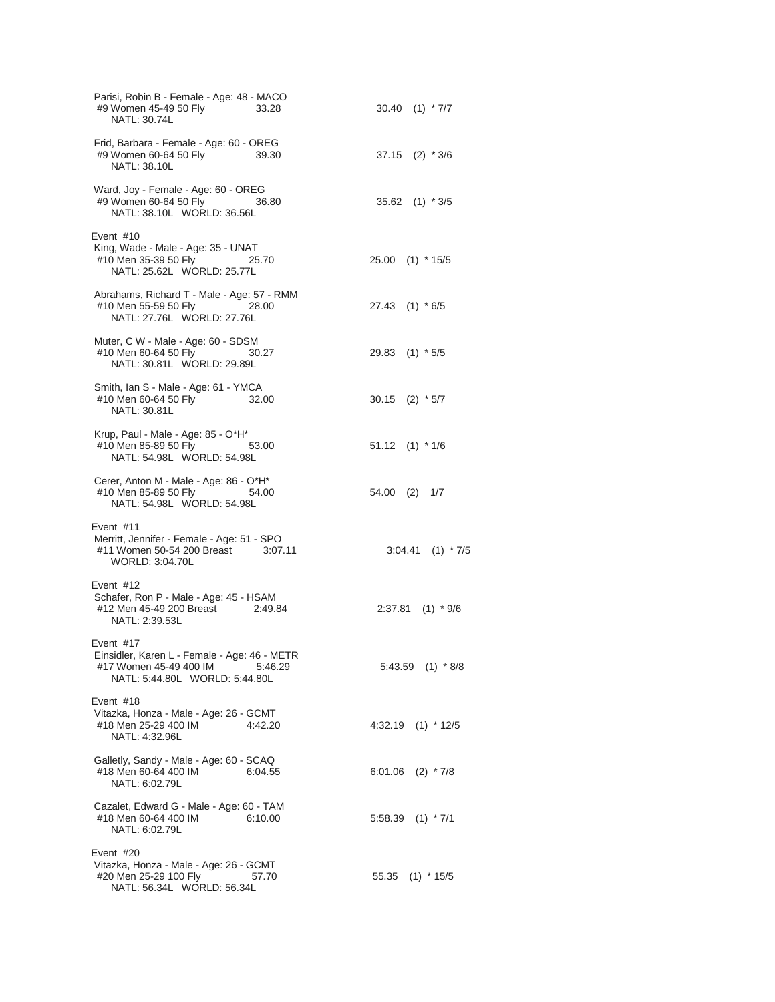| Parisi, Robin B - Female - Age: 48 - MACO<br>#9 Women 45-49 50 Fly<br>33.28<br>NATL: 30.74L                                   | $30.40$ (1) $*7/7$    |
|-------------------------------------------------------------------------------------------------------------------------------|-----------------------|
| Frid, Barbara - Female - Age: 60 - OREG<br>#9 Women 60-64 50 Fly 39.30<br>NATL: 38.10L                                        | $37.15$ (2) $*3/6$    |
| Ward, Joy - Female - Age: 60 - OREG<br>#9 Women 60-64 50 Fly<br>36.80<br>NATL: 38.10L WORLD: 36.56L                           | 35.62 (1) * 3/5       |
| Event #10<br>King, Wade - Male - Age: 35 - UNAT<br>#10 Men 35-39 50 Fly<br>25.70<br>NATL: 25.62L WORLD: 25.77L                | 25.00 (1) * 15/5      |
| Abrahams, Richard T - Male - Age: 57 - RMM<br>#10 Men 55-59 50 Fly 28.00<br>NATL: 27.76L WORLD: 27.76L                        | $27.43$ (1) $*6/5$    |
| Muter, C W - Male - Age: 60 - SDSM<br>#10 Men 60-64 50 Fly<br>30.27<br>NATL: 30.81L WORLD: 29.89L                             | 29.83 (1) * 5/5       |
| Smith, Ian S - Male - Age: 61 - YMCA<br>#10 Men 60-64 50 Fly 32.00<br>NATL: 30.81L                                            | $30.15$ (2) $*5/7$    |
| Krup, Paul - Male - Age: 85 - O*H*<br>#10 Men 85-89 50 Fly 53.00<br>NATL: 54.98L WORLD: 54.98L                                | $51.12$ $(1)$ * $1/6$ |
| Cerer, Anton M - Male - Age: 86 - O*H*<br>#10 Men 85-89 50 Fly 54.00<br>NATL: 54.98L WORLD: 54.98L                            | 54.00 (2) 1/7         |
| Event #11<br>Merritt, Jennifer - Female - Age: 51 - SPO<br>#11 Women 50-54 200 Breast 3:07.11<br>WORLD: 3:04.70L              | $3:04.41$ (1) $*7/5$  |
| Event #12<br>Schafer, Ron P - Male - Age: 45 - HSAM<br>#12 Men 45-49 200 Breast 2:49.84<br>NATL: 2:39.53L                     | $2:37.81$ (1) * 9/6   |
| Event #17<br>Einsidler, Karen L - Female - Age: 46 - METR<br>#17 Women 45-49 400 IM 5:46.29<br>NATL: 5:44.80L WORLD: 5:44.80L | $5:43.59$ (1) $*8/8$  |
| Event #18<br>Vitazka, Honza - Male - Age: 26 - GCMT<br>#18 Men 25-29 400 IM<br>4:42.20<br>NATL: 4:32.96L                      | $4:32.19$ (1) $*12/5$ |
| Galletly, Sandy - Male - Age: 60 - SCAQ<br>#18 Men 60-64 400 IM 6:04.55<br>NATL: 6:02.79L                                     | 6:01.06 $(2)$ * 7/8   |
| Cazalet, Edward G - Male - Age: 60 - TAM<br>#18 Men 60-64 400 IM<br>6:10.00<br>NATL: 6:02.79L                                 | $5:58.39$ (1) $*7/1$  |
| Event #20<br>Vitazka, Honza - Male - Age: 26 - GCMT<br>#20 Men 25-29 100 Fly<br>57.70<br>NATL: 56.34L WORLD: 56.34L           | 55.35 (1) * 15/5      |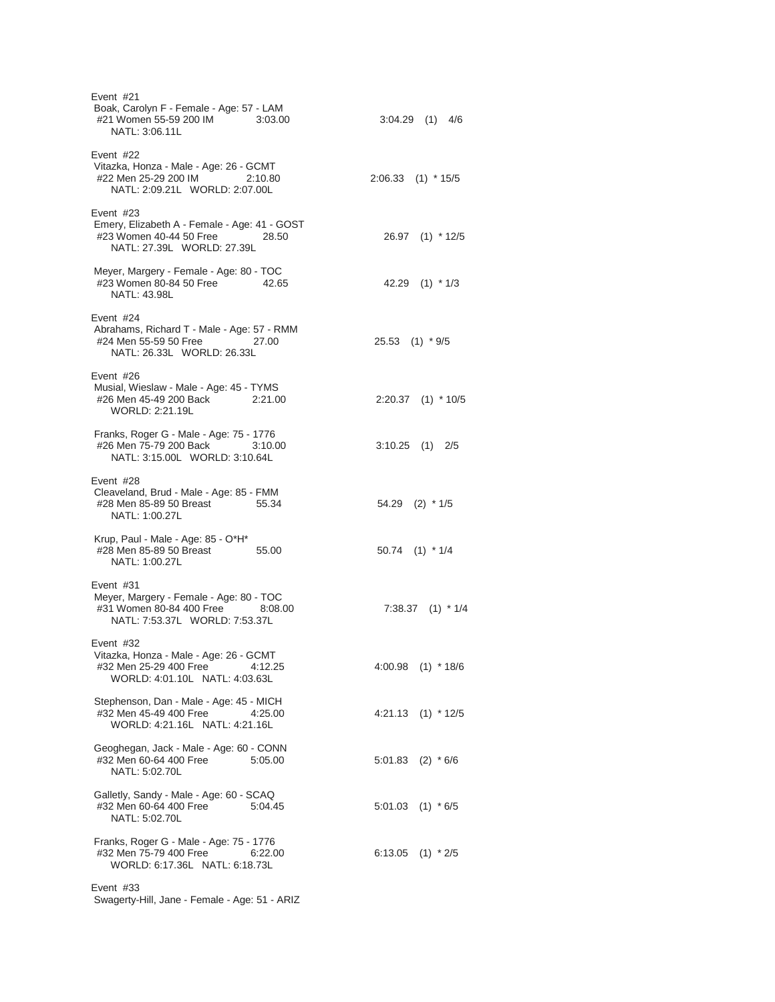| Event #21<br>Boak, Carolyn F - Female - Age: 57 - LAM<br>#21 Women 55-59 200 IM<br>3:03.00<br>NATL: 3:06.11L                  | $3:04.29$ (1) $4/6$   |
|-------------------------------------------------------------------------------------------------------------------------------|-----------------------|
| Event $#22$<br>Vitazka, Honza - Male - Age: 26 - GCMT<br>#22 Men 25-29 200 IM<br>2:10.80<br>NATL: 2:09.21L WORLD: 2:07.00L    | $2:06.33$ (1) * 15/5  |
| Event $#23$<br>Emery, Elizabeth A - Female - Age: 41 - GOST<br>#23 Women 40-44 50 Free<br>28.50<br>NATL: 27.39L WORLD: 27.39L | 26.97 (1) * 12/5      |
| Meyer, Margery - Female - Age: 80 - TOC<br>#23 Women 80-84 50 Free<br>42.65<br>NATL: 43.98L                                   | 42.29 $(1)$ * 1/3     |
| Event #24<br>Abrahams, Richard T - Male - Age: 57 - RMM<br>#24 Men 55-59 50 Free<br>27.00<br>NATL: 26.33L WORLD: 26.33L       | 25.53 (1) * 9/5       |
| Event #26<br>Musial, Wieslaw - Male - Age: 45 - TYMS<br>#26 Men 45-49 200 Back 2:21.00<br>WORLD: 2:21.19L                     | $2:20.37$ (1) * 10/5  |
| Franks, Roger G - Male - Age: 75 - 1776<br>#26 Men 75-79 200 Back<br>3:10.00<br>NATL: 3:15.00L WORLD: 3:10.64L                | $3:10.25$ (1) $2/5$   |
| Event #28<br>Cleaveland, Brud - Male - Age: 85 - FMM<br>55.34<br>#28 Men 85-89 50 Breast<br>NATL: 1:00.27L                    | 54.29 (2) * 1/5       |
| Krup, Paul - Male - Age: 85 - O*H*<br>#28 Men 85-89 50 Breast<br>55.00<br>NATL: 1:00.27L                                      | $50.74$ (1) * 1/4     |
| Event #31<br>Meyer, Margery - Female - Age: 80 - TOC<br>#31 Women 80-84 400 Free<br>8:08.00<br>NATL: 7:53.37L WORLD: 7:53.37L | $7:38.37$ (1) $*1/4$  |
| Event $#32$<br>Vitazka, Honza - Male - Age: 26 - GCMT<br>#32 Men 25-29 400 Free<br>4:12.25<br>WORLD: 4:01.10L NATL: 4:03.63L  | $4:00.98$ (1) * 18/6  |
| Stephenson, Dan - Male - Age: 45 - MICH<br>#32 Men 45-49 400 Free<br>4:25.00<br>WORLD: 4:21.16L NATL: 4:21.16L                | $4:21.13$ (1) $*12/5$ |
| Geoghegan, Jack - Male - Age: 60 - CONN<br>#32 Men 60-64 400 Free<br>5:05.00<br>NATL: 5:02.70L                                | $5:01.83$ (2) $*6/6$  |
| Galletly, Sandy - Male - Age: 60 - SCAQ<br>#32 Men 60-64 400 Free<br>5:04.45<br>NATL: 5:02.70L                                | $5:01.03$ (1) $*6/5$  |
| Franks, Roger G - Male - Age: 75 - 1776<br>#32 Men 75-79 400 Free<br>6:22.00<br>WORLD: 6:17.36L NATL: 6:18.73L                | 6:13.05 $(1)$ * 2/5   |
| Event $#33$<br>Swagerty-Hill, Jane - Female - Age: 51 - ARIZ                                                                  |                       |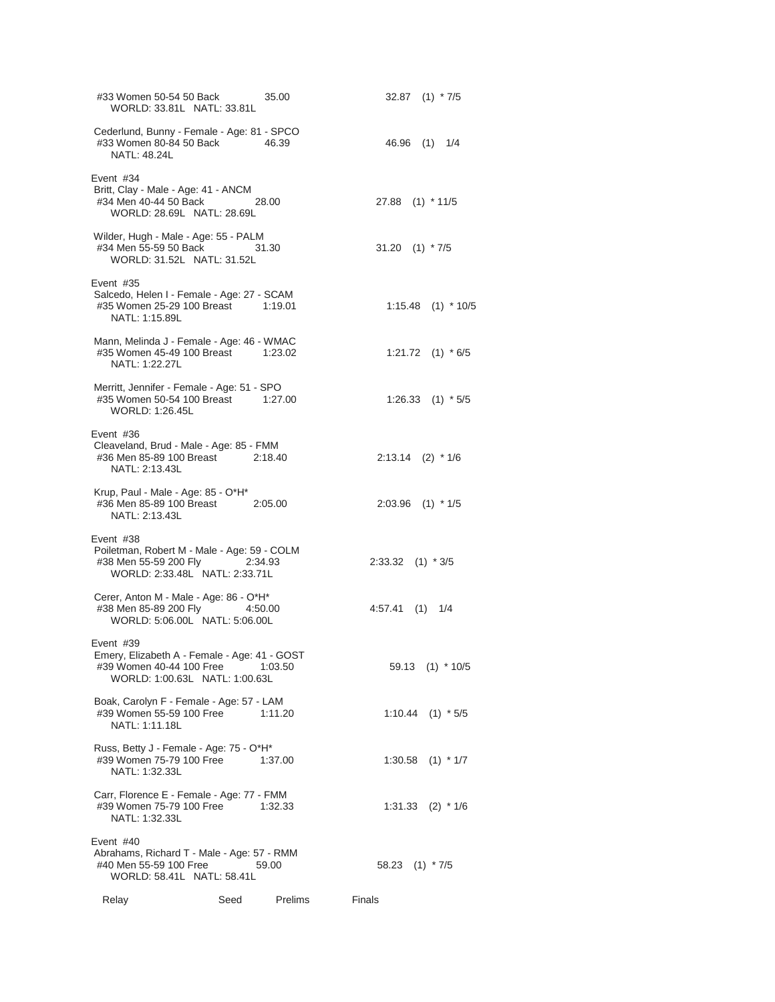| #33 Women 50-54 50 Back<br>WORLD: 33.81L NATL: 33.81L                                                                   |      | 35.00   |                      | $32.87$ (1) $*7/5$    |
|-------------------------------------------------------------------------------------------------------------------------|------|---------|----------------------|-----------------------|
| Cederlund, Bunny - Female - Age: 81 - SPCO<br>#33 Women 80-84 50 Back<br>NATL: 48.24L                                   |      | 46.39   |                      | 46.96 (1) 1/4         |
| Event #34<br>Britt, Clay - Male - Age: 41 - ANCM<br>#34 Men 40-44 50 Back 28.00<br>WORLD: 28.69L NATL: 28.69L           |      |         | 27.88 (1) * 11/5     |                       |
| Wilder, Hugh - Male - Age: 55 - PALM<br>#34 Men 55-59 50 Back<br>WORLD: 31.52L NATL: 31.52L                             |      | 31.30   | 31.20 $(1) * 7/5$    |                       |
| Event #35<br>Salcedo, Helen I - Female - Age: 27 - SCAM<br>#35 Women 25-29 100 Breast 1:19.01<br>NATL: 1:15.89L         |      |         |                      | $1:15.48$ (1) * 10/5  |
| Mann, Melinda J - Female - Age: 46 - WMAC<br>#35 Women 45-49 100 Breast 1:23.02<br>NATI: 1:22.27L                       |      |         |                      | 1:21.72 $(1) * 6/5$   |
| Merritt, Jennifer - Female - Age: 51 - SPO<br>#35 Women 50-54 100 Breast 1:27.00<br>WORLD: 1:26.45L                     |      |         |                      | $1:26.33$ (1) $*5/5$  |
| Event #36<br>Cleaveland, Brud - Male - Age: 85 - FMM<br>#36 Men 85-89 100 Breast 2:18.40<br>NATL: 2:13.43L              |      |         |                      | $2:13.14$ (2) * 1/6   |
| Krup, Paul - Male - Age: 85 - O*H*<br>#36 Men 85-89 100 Breast 2:05.00<br>NATL: 2:13.43L                                |      |         |                      | $2:03.96$ (1) * 1/5   |
| Event #38<br>Poiletman, Robert M - Male - Age: 59 - COLM<br>#38 Men 55-59 200 Fly<br>WORLD: 2:33.48L NATL: 2:33.71L     |      | 2:34.93 | $2:33.32$ (1) $*3/5$ |                       |
| Cerer, Anton M - Male - Age: 86 - O*H*<br>#38 Men 85-89 200 Fly 4:50.00<br>WORLD: 5:06.00L NATL: 5:06.00L               |      |         | 4:57.41 (1) 1/4      |                       |
| Event #39<br>Emery, Elizabeth A - Female - Age: 41 - GOST<br>#39 Women 40-44 100 Free<br>WORLD: 1:00.63L NATL: 1:00.63L |      | 1:03.50 |                      | 59.13 (1) * 10/5      |
| Boak, Carolyn F - Female - Age: 57 - LAM<br>#39 Women 55-59 100 Free<br>NATL: 1:11.18L                                  |      | 1:11.20 |                      | $1:10.44$ (1) $*5/5$  |
| Russ, Betty J - Female - Age: 75 - O*H*<br>#39 Women 75-79 100 Free<br>NATL: 1:32.33L                                   |      | 1:37.00 |                      | $1:30.58$ (1) * $1/7$ |
| Carr, Florence E - Female - Age: 77 - FMM<br>#39 Women 75-79 100 Free<br>NATL: 1:32.33L                                 |      | 1:32.33 |                      | $1:31.33$ (2) $*1/6$  |
| Event #40<br>Abrahams, Richard T - Male - Age: 57 - RMM<br>#40 Men 55-59 100 Free<br>WORLD: 58.41L NATL: 58.41L         |      | 59.00   | 58.23 (1) * 7/5      |                       |
| Relay                                                                                                                   | Seed | Prelims | Finals               |                       |